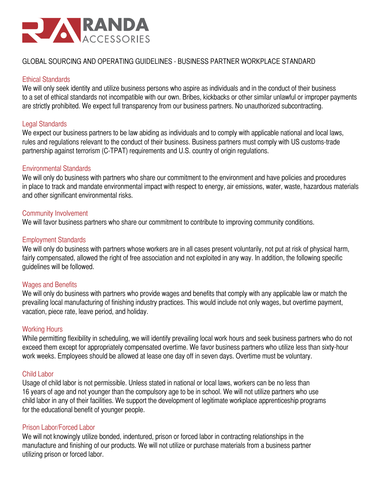

# GLOBAL SOURCING AND OPERATING GUIDELINES - BUSINESS PARTNER WORKPLACE STANDARD

# Ethical Standards

We will only seek identity and utilize business persons who aspire as individuals and in the conduct of their business to a set of ethical standards not incompatible with our own. Bribes, kickbacks or other similar unlawful or improper payments are strictly prohibited. We expect full transparency from our business partners. No unauthorized subcontracting.

### Legal Standards

We expect our business partners to be law abiding as individuals and to comply with applicable national and local laws, rules and regulations relevant to the conduct of their business. Business partners must comply with US customs-trade partnership against terrorism (C-TPAT) requirements and U.S. country of origin regulations.

## Environmental Standards

We will only do business with partners who share our commitment to the environment and have policies and procedures in place to track and mandate environmental impact with respect to energy, air emissions, water, waste, hazardous materials and other significant environmental risks.

## Community Involvement

We will favor business partners who share our commitment to contribute to improving community conditions.

## Employment Standards

We will only do business with partners whose workers are in all cases present voluntarily, not put at risk of physical harm, fairly compensated, allowed the right of free association and not exploited in any way. In addition, the following specific guidelines will be followed.

### Wages and Benefits

We will only do business with partners who provide wages and benefits that comply with any applicable law or match the prevailing local manufacturing of finishing industry practices. This would include not only wages, but overtime payment, vacation, piece rate, leave period, and holiday.

### Working Hours

While permitting flexibility in scheduling, we will identify prevailing local work hours and seek business partners who do not exceed them except for appropriately compensated overtime. We favor business partners who utilize less than sixty-hour work weeks. Employees should be allowed at lease one day off in seven days. Overtime must be voluntary.

### Child Labor

Usage of child labor is not permissible. Unless stated in national or local laws, workers can be no less than 16 years of age and not younger than the compulsory age to be in school. We will not utilize partners who use child labor in any of their facilities. We support the development of legitimate workplace apprenticeship programs for the educational benefit of younger people.

### Prison Labor/Forced Labor

We will not knowingly utilize bonded, indentured, prison or forced labor in contracting relationships in the manufacture and finishing of our products. We will not utilize or purchase materials from a business partner utilizing prison or forced labor.